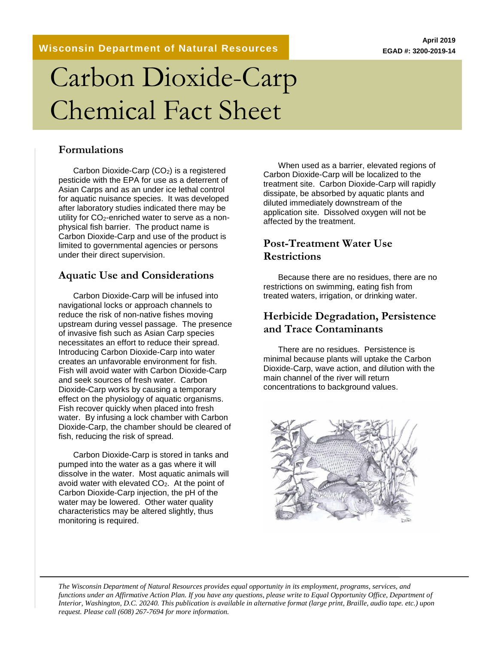**Wisconsin Department of Natural Resources**

# Carbon Dioxide-Carp Chemical Fact Sheet

#### **Formulations**

Carbon Dioxide-Carp (CO<sub>2</sub>) is a registered pesticide with the EPA for use as a deterrent of Asian Carps and as an under ice lethal control for aquatic nuisance species. It was developed after laboratory studies indicated there may be utility for  $CO<sub>2</sub>$ -enriched water to serve as a nonphysical fish barrier. The product name is Carbon Dioxide-Carp and use of the product is limited to governmental agencies or persons under their direct supervision.

#### **Aquatic Use and Considerations**

Carbon Dioxide-Carp will be infused into navigational locks or approach channels to reduce the risk of non-native fishes moving upstream during vessel passage. The presence of invasive fish such as Asian Carp species necessitates an effort to reduce their spread. Introducing Carbon Dioxide-Carp into water creates an unfavorable environment for fish. Fish will avoid water with Carbon Dioxide-Carp and seek sources of fresh water. Carbon Dioxide-Carp works by causing a temporary effect on the physiology of aquatic organisms. Fish recover quickly when placed into fresh water. By infusing a lock chamber with Carbon Dioxide-Carp, the chamber should be cleared of fish, reducing the risk of spread.

Carbon Dioxide-Carp is stored in tanks and pumped into the water as a gas where it will dissolve in the water. Most aquatic animals will avoid water with elevated CO2. At the point of Carbon Dioxide-Carp injection, the pH of the water may be lowered. Other water quality characteristics may be altered slightly, thus monitoring is required.

When used as a barrier, elevated regions of Carbon Dioxide-Carp will be localized to the treatment site. Carbon Dioxide-Carp will rapidly dissipate, be absorbed by aquatic plants and diluted immediately downstream of the application site. Dissolved oxygen will not be affected by the treatment.

#### **Post-Treatment Water Use Restrictions**

Because there are no residues, there are no restrictions on swimming, eating fish from treated waters, irrigation, or drinking water.

#### **Herbicide Degradation, Persistence and Trace Contaminants**

There are no residues. Persistence is minimal because plants will uptake the Carbon Dioxide-Carp, wave action, and dilution with the main channel of the river will return concentrations to background values.



*The Wisconsin Department of Natural Resources provides equal opportunity in its employment, programs, services, and functions under an Affirmative Action Plan. If you have any questions, please write to Equal Opportunity Office, Department of Interior, Washington, D.C. 20240. This publication is available in alternative format (large print, Braille, audio tape. etc.) upon request. Please call (608) 267-7694 for more information.*